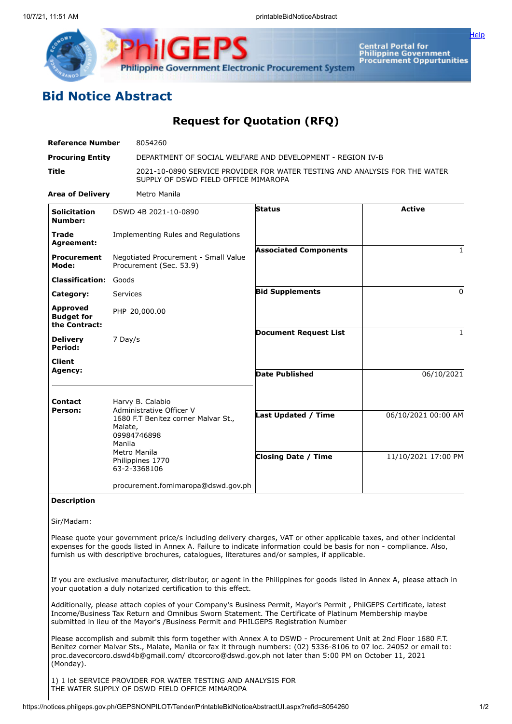

**Central Portal for** Central Portal for<br>Philippine Government<br>Procurement Oppurtunities

[Help](javascript:void(window.open()

## **Bid Notice Abstract**

## **Request for Quotation (RFQ)**

| <b>Reference Number</b>                               | 8054260                                                         |                                                                                                                    |               |  |
|-------------------------------------------------------|-----------------------------------------------------------------|--------------------------------------------------------------------------------------------------------------------|---------------|--|
| <b>Procuring Entity</b>                               |                                                                 | DEPARTMENT OF SOCIAL WELFARE AND DEVELOPMENT - REGION IV-B                                                         |               |  |
| <b>Title</b>                                          |                                                                 | 2021-10-0890 SERVICE PROVIDER FOR WATER TESTING AND ANALYSIS FOR THE WATER<br>SUPPLY OF DSWD FIELD OFFICE MIMAROPA |               |  |
| <b>Area of Delivery</b>                               | Metro Manila                                                    |                                                                                                                    |               |  |
| <b>Solicitation</b><br>Number:                        | DSWD 4B 2021-10-0890                                            | <b>Status</b>                                                                                                      | <b>Active</b> |  |
| <b>Trade</b><br>Agreement:                            | Implementing Rules and Regulations                              |                                                                                                                    |               |  |
| <b>Procurement</b><br>Mode:                           | Negotiated Procurement - Small Value<br>Procurement (Sec. 53.9) | <b>Associated Components</b>                                                                                       |               |  |
| <b>Classification:</b>                                | Goods                                                           |                                                                                                                    |               |  |
| Category:                                             | Services                                                        | <b>Bid Supplements</b>                                                                                             | $\Omega$      |  |
| <b>Approved</b><br><b>Budget for</b><br>the Contract: | PHP 20,000.00                                                   |                                                                                                                    |               |  |
| <b>Delivery</b><br>Period:                            | 7 Day/s                                                         | <b>Document Request List</b>                                                                                       |               |  |
| <b>Client</b>                                         |                                                                 |                                                                                                                    |               |  |

| <b>Agency:</b> |                                                                                                                                                                             | <b>Date Published</b>      | 06/10/2021          |
|----------------|-----------------------------------------------------------------------------------------------------------------------------------------------------------------------------|----------------------------|---------------------|
| <b>Contact</b> | Harvy B. Calabio<br>Administrative Officer V<br>1680 F.T Benitez corner Malvar St.,<br>Malate,<br>09984746898<br>Manila<br>Metro Manila<br>Philippines 1770<br>63-2-3368106 |                            |                     |
| Person:        |                                                                                                                                                                             | <b>Last Updated / Time</b> | 06/10/2021 00:00 AM |
|                |                                                                                                                                                                             | <b>Closing Date / Time</b> | 11/10/2021 17:00 PM |
|                | procurement.fomimaropa@dswd.gov.ph                                                                                                                                          |                            |                     |

## **Description**

Sir/Madam:

Please quote your government price/s including delivery charges, VAT or other applicable taxes, and other incidental expenses for the goods listed in Annex A. Failure to indicate information could be basis for non - compliance. Also, furnish us with descriptive brochures, catalogues, literatures and/or samples, if applicable.

If you are exclusive manufacturer, distributor, or agent in the Philippines for goods listed in Annex A, please attach in your quotation a duly notarized certification to this effect.

Additionally, please attach copies of your Company's Business Permit, Mayor's Permit , PhilGEPS Certificate, latest Income/Business Tax Return and Omnibus Sworn Statement. The Certificate of Platinum Membership maybe submitted in lieu of the Mayor's /Business Permit and PHILGEPS Registration Number

Please accomplish and submit this form together with Annex A to DSWD - Procurement Unit at 2nd Floor 1680 F.T. Benitez corner Malvar Sts., Malate, Manila or fax it through numbers: (02) 5336-8106 to 07 loc. 24052 or email to: proc.davecorcoro.dswd4b@gmail.com/ dtcorcoro@dswd.gov.ph not later than 5:00 PM on October 11, 2021 (Monday).

1) 1 lot SERVICE PROVIDER FOR WATER TESTING AND ANALYSIS FOR THE WATER SUPPLY OF DSWD FIELD OFFICE MIMAROPA